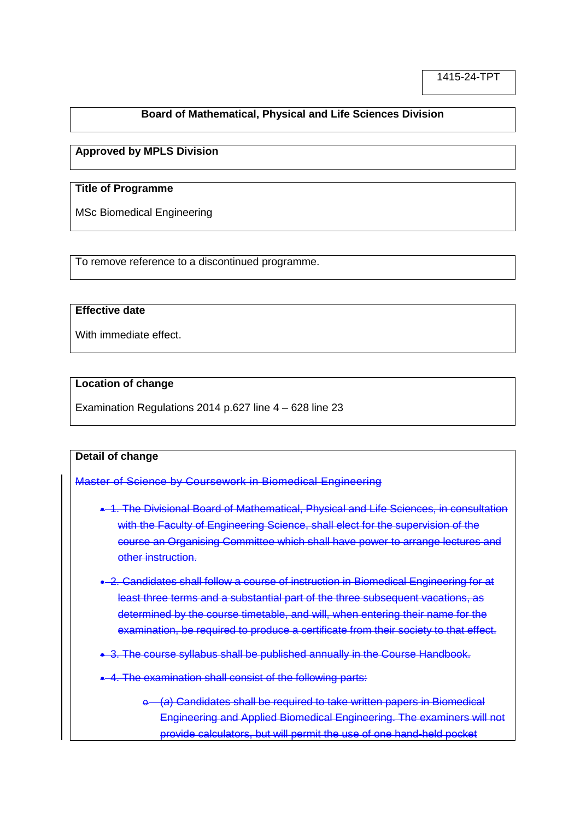# **Board of Mathematical, Physical and Life Sciences Division**

### **Approved by MPLS Division**

## **Title of Programme**

MSc Biomedical Engineering

To remove reference to a discontinued programme.

#### **Effective date**

With immediate effect.

#### **Location of change**

Examination Regulations 2014 p.627 line 4 – 628 line 23

#### **Detail of change**

Master of Science by Coursework in Biomedical Engineering

- 1. The Divisional Board of Mathematical, Physical and Life Sciences, in consultation with the Faculty of Engineering Science, shall elect for the supervision of the course an Organising Committee which shall have power to arrange lectures and other instruction.
- 2. Candidates shall follow a course of instruction in Biomedical Engineering for at least three terms and a substantial part of the three subsequent vacations, as determined by the course timetable, and will, when entering their name for the examination, be required to produce a certificate from their society to that effect.
- 3. The course syllabus shall be published annually in the Course Handbook.
- 4. The examination shall consist of the following parts:
	- o (*a*) Candidates shall be required to take written papers in Biomedical Engineering and Applied Biomedical Engineering. The examiners will not provide calculators, but will permit the use of one hand-held pocket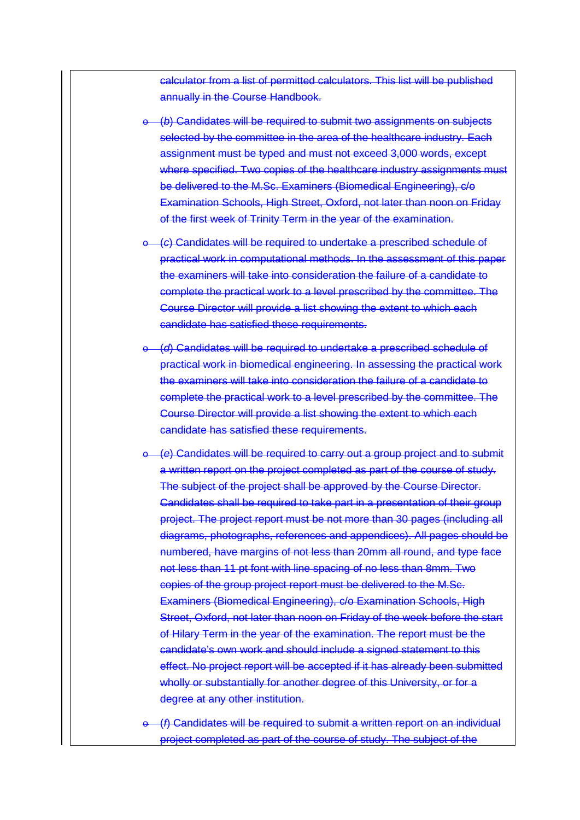calculator from a list of permitted calculators. This list will be published annually in the Course Handbook.

- (b) Candidates will be required to submit two assignments on subjects selected by the committee in the area of the healthcare industry. Each assignment must be typed and must not exceed 3,000 words, except where specified. Two copies of the healthcare industry assignments must be delivered to the M.Sc. Examiners (Biomedical Engineering), c/o Examination Schools, High Street, Oxford, not later than noon on Friday of the first week of Trinity Term in the year of the examination.
- o (*c*) Candidates will be required to undertake a prescribed schedule of practical work in computational methods. In the assessment of this paper the examiners will take into consideration the failure of a candidate to complete the practical work to a level prescribed by the committee. The Course Director will provide a list showing the extent to which each candidate has satisfied these requirements.
- o (*d*) Candidates will be required to undertake a prescribed schedule of practical work in biomedical engineering. In assessing the practical work the examiners will take into consideration the failure of a candidate to complete the practical work to a level prescribed by the committee. The Course Director will provide a list showing the extent to which each candidate has satisfied these requirements.
- o (*e*) Candidates will be required to carry out a group project and to submit a written report on the project completed as part of the course of study. The subject of the project shall be approved by the Course Director. Candidates shall be required to take part in a presentation of their group project. The project report must be not more than 30 pages (including all diagrams, photographs, references and appendices). All pages should be numbered, have margins of not less than 20mm all round, and type face not less than 11 pt font with line spacing of no less than 8mm. Two copies of the group project report must be delivered to the M.Sc. Examiners (Biomedical Engineering), c/o Examination Schools, High Street, Oxford, not later than noon on Friday of the week before the start of Hilary Term in the year of the examination. The report must be the candidate's own work and should include a signed statement to this effect. No project report will be accepted if it has already been submitted wholly or substantially for another degree of this University, or for a degree at any other institution.

(*f*) Candidates will be required to submit a written report on an individual project completed as part of the course of study. The subject of the